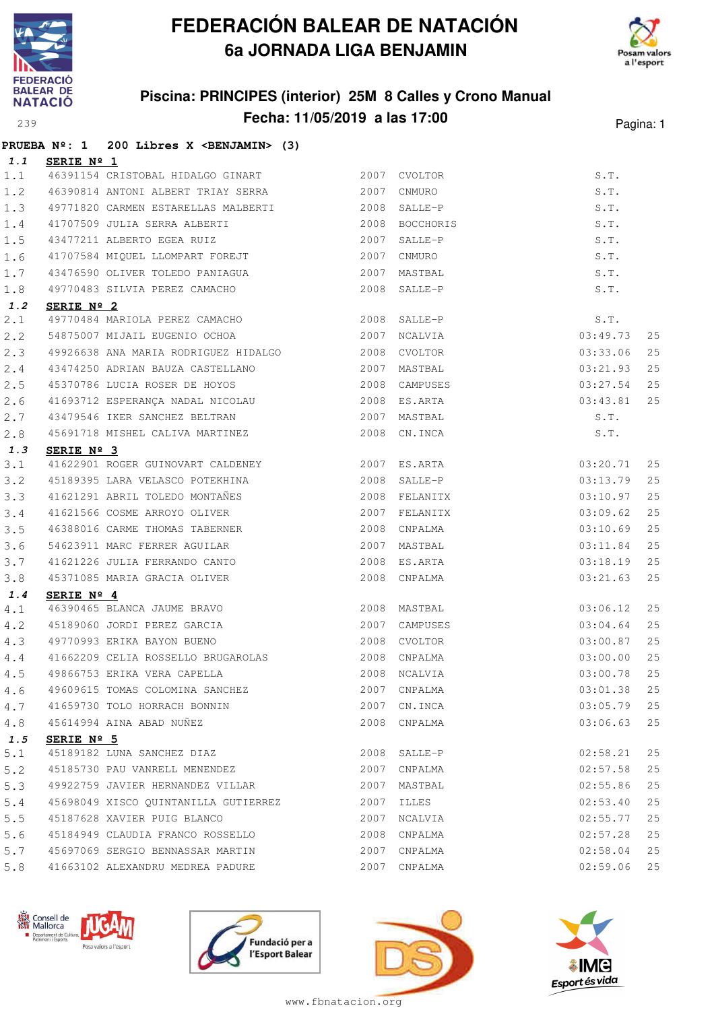



### **Piscina: PRINCIPES (interior) 25M 8 Calles y Crono Manual Fecha: 11/05/2019 a las 17:00** Pagina: 1

|       |                     | PRUEBA Nº: 1 200 Libres X <benjamin> (3)</benjamin>                                      |              |              |          |    |
|-------|---------------------|------------------------------------------------------------------------------------------|--------------|--------------|----------|----|
| 1.1   | <b>SERIE Nº 1</b>   |                                                                                          |              |              |          |    |
| 1.1   |                     | 46391154 CRISTOBAL HIDALGO GINART 2007 CVOLTOR                                           |              |              | S.T.     |    |
| 1.2   |                     | 46390814 ANTONI ALBERT TRIAY SERRA 2007 CNMURO                                           |              |              | S.T.     |    |
| 1.3   |                     |                                                                                          |              |              | S.T.     |    |
| 1.4   |                     |                                                                                          |              |              | S.T.     |    |
| 1.5   |                     | 41707509 JULIA SERRA ALBERTI (2008 BOCCHORIS 43477211 ALBERTO EGEA RUIZ (2007 SALLE-P    |              |              | S.T.     |    |
| 1.6   |                     | 41707584 MIQUEL LLOMPART FOREJT 2007                                                     |              | CNMURO       | S.T.     |    |
| 1.7   |                     | 43476590 OLIVER TOLEDO PANIAGUA 2007                                                     |              | MASTBAL      | S.T.     |    |
| 1.8   |                     | 49770483 SILVIA PEREZ CAMACHO                                                            |              | 2008 SALLE-P | S.T.     |    |
| 1.2   | SERIE Nº 2          |                                                                                          |              |              |          |    |
| 2.1   |                     | 49770484 MARIOLA PEREZ CAMACHO 2008 SALLE-P                                              |              |              | S.T.     |    |
| 2.2   |                     | 54875007 MIJAIL EUGENIO OCHOA 2007 NCALVIA                                               |              |              | 03:49.73 | 25 |
| 2.3   |                     | 49926638 ANA MARIA RODRIGUEZ HIDALGO 2008 CVOLTOR                                        |              |              | 03:33.06 | 25 |
| 2.4   |                     | 43474250 ADRIAN BAUZA CASTELLANO<br>ALCOROLO ANNELLA                                     |              | 2007 MASTBAL | 03:21.93 | 25 |
| 2.5   |                     | 45370786 LUCIA ROSER DE HOYOS 2008 CAMPUSES                                              |              |              | 03:27.54 | 25 |
| 2.6   |                     | 41693712 ESPERANÇA NADAL NICOLAU (2008 ES.ARTA                                           |              |              | 03:43.81 | 25 |
| 2.7   |                     | 43479546 IKER SANCHEZ BELTRAN 2007 MASTBAL                                               |              |              | S.T.     |    |
| 2.8   |                     | 45691718 MISHEL CALIVA MARTINEZ 2008 CN.INCA                                             |              |              | S.T.     |    |
| 1.3   | SERIE Nº 3          |                                                                                          |              |              |          |    |
| 3.1   |                     | 41622901 ROGER GUINOVART CALDENEY 2007 ES.ARTA                                           |              |              | 03:20.71 | 25 |
| 3.2   |                     | 45189395 LARA VELASCO POTEKHINA 6 2008 SALLE-P                                           |              |              | 03:13.79 | 25 |
| 3.3   |                     |                                                                                          |              |              | 03:10.97 | 25 |
| 3.4   |                     |                                                                                          |              |              | 03:09.62 | 25 |
| 3.5   |                     |                                                                                          |              |              | 03:10.69 | 25 |
| 3.6   |                     | 54623911 MARC FERRER AGUILAR                                                             |              | 2007 MASTBAL | 03:11.84 | 25 |
| 3.7   |                     |                                                                                          |              | 2008 ES.ARTA | 03:18.19 | 25 |
| 3.8   |                     | 41621226 JULIA FERRANDO CANTO<br>45371085 MARIA GRACIA OLIVER                            |              | 2008 CNPALMA | 03:21.63 | 25 |
| 1.4   | SERIE $N^{\circ}$ 4 |                                                                                          |              |              |          |    |
| 4.1   |                     | 3ERIE Nº 4<br>46390465 BLANCA JAUME BRAVO<br>45189060 JORDI PEREZ GARCIA (2007 CAMPUSES) |              |              | 03:06.12 | 25 |
| 4.2   |                     |                                                                                          |              |              | 03:04.64 | 25 |
| 4.3   |                     | 49770993 ERIKA BAYON BUENO                                                               | 2008 CVOLTOR |              | 03:00.87 | 25 |
| 4.4   |                     | 41662209 CELIA ROSSELLO BRUGAROLAS 2008 CNPALMA                                          |              |              | 03:00.00 | 25 |
| 4.5   |                     | 49866753 ERIKA VERA CAPELLA                                                              |              | 2008 NCALVIA | 03:00.78 | 25 |
| 4.6   |                     | 49609615 TOMAS COLOMINA SANCHEZ                                                          |              | 2007 CNPALMA | 03:01.38 | 25 |
| 4.7   |                     | 41659730 TOLO HORRACH BONNIN                                                             |              | 2007 CN.INCA | 03:05.79 | 25 |
| 4.8   |                     | 45614994 AINA ABAD NUNEZ                                                                 |              | 2008 CNPALMA | 03:06.63 | 25 |
| 1.5   | SERIE $N^{\circ}$ 5 |                                                                                          |              |              |          |    |
| 5.1   |                     | 45189182 LUNA SANCHEZ DIAZ                                                               | 2008         | SALLE-P      | 02:58.21 | 25 |
| 5.2   |                     | 45185730 PAU VANRELL MENENDEZ                                                            | 2007         | CNPALMA      | 02:57.58 | 25 |
| 5.3   |                     | 49922759 JAVIER HERNANDEZ VILLAR                                                         | 2007         | MASTBAL      | 02:55.86 | 25 |
| $5.4$ |                     | 45698049 XISCO QUINTANILLA GUTIERREZ                                                     | 2007         | ILLES        | 02:53.40 | 25 |
| 5.5   |                     | 45187628 XAVIER PUIG BLANCO                                                              | 2007         | NCALVIA      | 02:55.77 | 25 |
| 5.6   |                     | 45184949 CLAUDIA FRANCO ROSSELLO                                                         | 2008         | CNPALMA      | 02:57.28 | 25 |
| 5.7   |                     | 45697069 SERGIO BENNASSAR MARTIN                                                         |              | 2007 CNPALMA | 02:58.04 | 25 |
| 5.8   |                     | 41663102 ALEXANDRU MEDREA PADURE                                                         | 2007         | CNPALMA      | 02:59.06 | 25 |







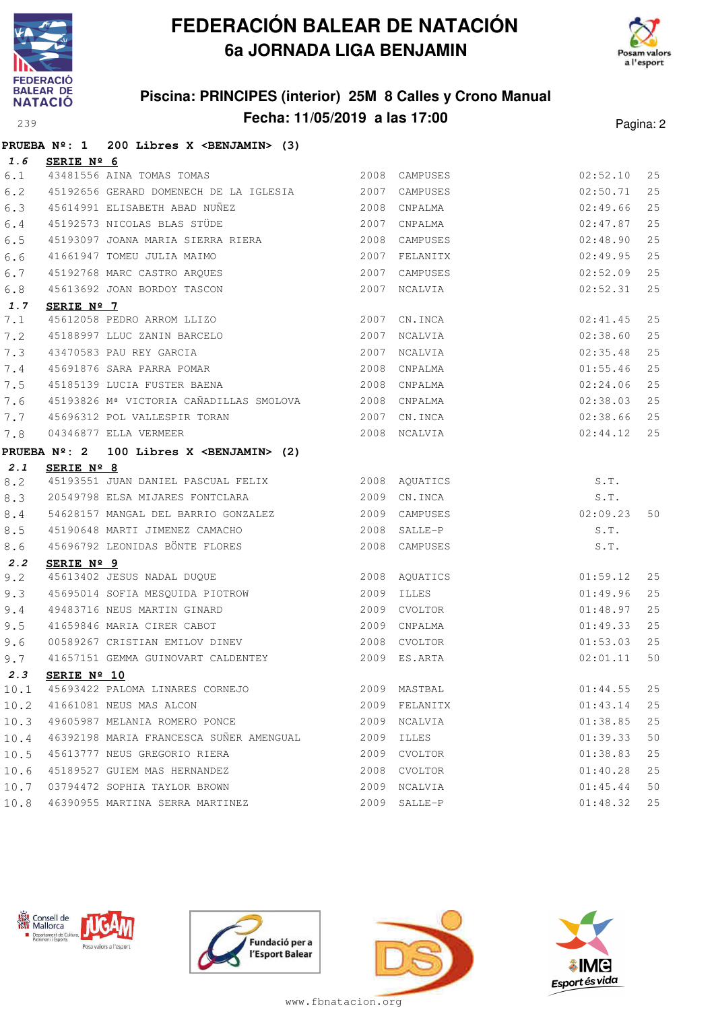



### **Piscina: PRINCIPES (interior) 25M 8 Calles y Crono Manual Fecha: 11/05/2019 a las 17:00** Pagina: 2

|      | <b>PRUEBA Nº: 1</b> | 200 Libres X <benjamin> (3)</benjamin>                 |            |               |          |    |
|------|---------------------|--------------------------------------------------------|------------|---------------|----------|----|
| 1.6  | SERIE Nº 6          |                                                        |            |               |          |    |
| 6.1  |                     | 43481556 AINA TOMAS TOMAS                              |            | 2008 CAMPUSES | 02:52.10 | 25 |
| 6.2  |                     | 45192656 GERARD DOMENECH DE LA IGLESIA 2007 CAMPUSES   |            |               | 02:50.71 | 25 |
| 6.3  |                     | 45614991 ELISABETH ABAD NUÑEZ<br>2008 CNPALMA          |            |               | 02:49.66 | 25 |
| 6.4  |                     | 45192573 NICOLAS BLAS STÜDE<br>2007                    |            | CNPALMA       | 02:47.87 | 25 |
| 6.5  |                     | 45193097 JOANA MARIA SIERRA RIERA 2008                 |            | CAMPUSES      | 02:48.90 | 25 |
| 6.6  |                     | 41661947 TOMEU JULIA MAIMO                             |            | 2007 FELANITX | 02:49.95 | 25 |
| 6.7  |                     | 45192768 MARC CASTRO ARQUES                            | 2007       | CAMPUSES      | 02:52.09 | 25 |
| 6.8  |                     | 45613692 JOAN BORDOY TASCON                            |            | 2007 NCALVIA  | 02:52.31 | 25 |
| 1.7  | SERIE Nº 7          |                                                        |            |               |          |    |
| 7.1  |                     |                                                        |            |               | 02:41.45 | 25 |
| 7.2  |                     |                                                        |            |               | 02:38.60 | 25 |
| 7.3  |                     | 2007<br>43470583 PAU REY GARCIA                        |            | NCALVIA       | 02:35.48 | 25 |
| 7.4  |                     | 45691876 SARA PARRA POMAR                              | 2008       | CNPALMA       | 01:55.46 | 25 |
| 7.5  |                     | 45185139 LUCIA FUSTER BAENA                            |            | 2008 CNPALMA  | 02:24.06 | 25 |
| 7.6  |                     | 45193826 Mª VICTORIA CAÑADILLAS SMOLOVA 2008 CNPALMA   |            |               | 02:38.03 | 25 |
| 7.7  |                     | 45696312 POL VALLESPIR TORAN<br>2007                   |            | CN.INCA       | 02:38.66 | 25 |
| 7.8  |                     | 04346877 ELLA VERMEER                                  |            | 2008 NCALVIA  | 02:44.12 | 25 |
|      |                     | PRUEBA Nº: 2 100 Libres X <benjamin> (2)</benjamin>    |            |               |          |    |
| 2.1  | SERIE Nº 8          |                                                        |            |               |          |    |
| 8.2  |                     | 45193551 JUAN DANIEL PASCUAL FELIX 2008 AQUATICS       |            |               | S.T.     |    |
| 8.3  |                     |                                                        |            | CN.INCA       | S.T.     |    |
| 8.4  |                     | 54628157 MANGAL DEL BARRIO GONZALEZ 6000 2009 CAMPUSES |            |               | 02:09.23 | 50 |
| 8.5  |                     | 45190648 MARTI JIMENEZ CAMACHO                         |            | 2008 SALLE-P  | S.T.     |    |
| 8.6  |                     | 45696792 LEONIDAS BÖNTE FLORES                         |            | 2008 CAMPUSES | S.T.     |    |
| 2.2  | SERIE Nº 9          |                                                        |            |               |          |    |
| 9.2  |                     | 45613402 JESUS NADAL DUQUE 2008 AQUATICS               |            |               | 01:59.12 | 25 |
| 9.3  |                     | 45695014 SOFIA MESQUIDA PIOTROW<br>40493716 WILLS WILL | 2009 ILLES |               | 01:49.96 | 25 |
| 9.4  |                     | 49483716 NEUS MARTIN GINARD 2009 CVOLTOR               |            |               | 01:48.97 | 25 |
| 9.5  |                     | 41659846 MARIA CIRER CABOT                             | 2009       | CNPALMA       | 01:49.33 | 25 |
| 9.6  |                     | 00589267 CRISTIAN EMILOV DINEV 2008                    |            | CVOLTOR       | 01:53.03 | 25 |
| 9.7  |                     | 41657151 GEMMA GUINOVART CALDENTEY                     |            | 2009 ES.ARTA  | 02:01.11 | 50 |
| 2.3  | SERIE Nº 10         |                                                        |            |               |          |    |
| 10.1 |                     | 45693422 PALOMA LINARES CORNEJO                        |            | 2009 MASTBAL  | 01:44.55 | 25 |
| 10.2 |                     | 41661081 NEUS MAS ALCON                                |            | 2009 FELANITX | 01:43.14 | 25 |
| 10.3 |                     | 49605987 MELANIA ROMERO PONCE                          |            | 2009 NCALVIA  | 01:38.85 | 25 |
| 10.4 |                     | 46392198 MARIA FRANCESCA SUÑER AMENGUAL                |            | 2009 ILLES    | 01:39.33 | 50 |
| 10.5 |                     | 45613777 NEUS GREGORIO RIERA                           |            | 2009 CVOLTOR  | 01:38.83 | 25 |
| 10.6 |                     | 45189527 GUIEM MAS HERNANDEZ                           |            | 2008 CVOLTOR  | 01:40.28 | 25 |
| 10.7 |                     | 03794472 SOPHIA TAYLOR BROWN                           |            | 2009 NCALVIA  | 01:45.44 | 50 |
|      |                     | 10.8 46390955 MARTINA SERRA MARTINEZ                   |            | 2009 SALLE-P  | 01:48.32 | 25 |







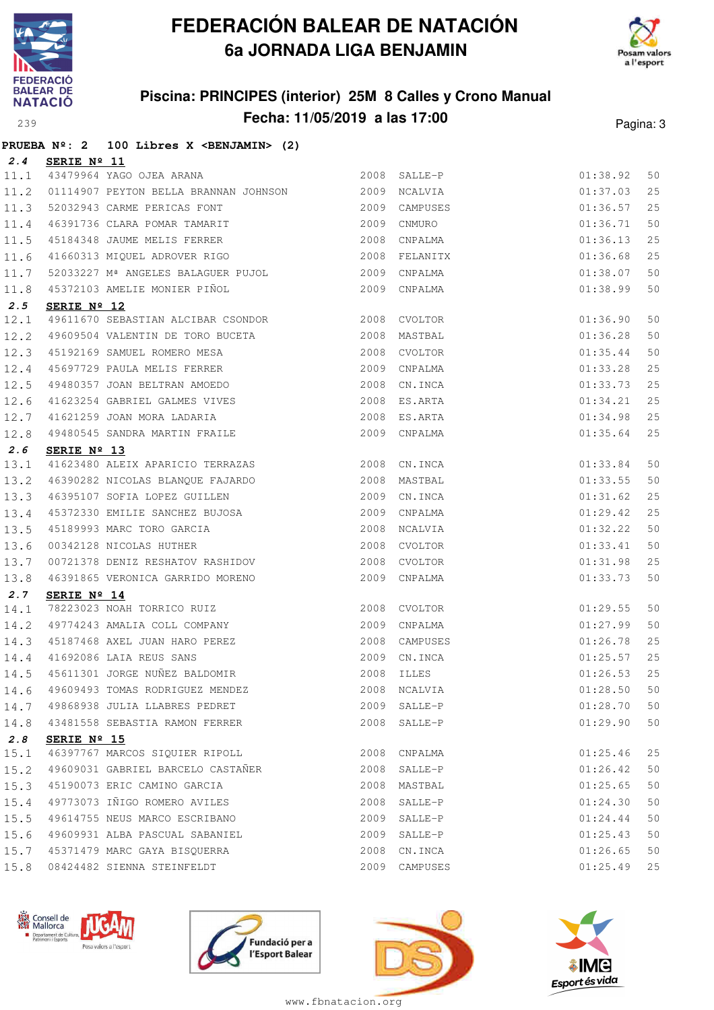



### **Piscina: PRINCIPES (interior) 25M 8 Calles y Crono Manual Fecha: 11/05/2019 a las 17:00** Pagina: 3

|      |                      | PRUEBA Nº: 2 100 Libres X <benjamin> (2)</benjamin>                                                                                       |               |          |      |
|------|----------------------|-------------------------------------------------------------------------------------------------------------------------------------------|---------------|----------|------|
| 2.4  | SERIE Nº 11          |                                                                                                                                           |               |          |      |
|      |                      | 2008 SALLE-P<br>11.1 43479964 YAGO OJEA ARANA                                                                                             |               | 01:38.92 | 50   |
| 11.2 |                      | 01114907 PEYTON BELLA BRANNAN JOHNSON 2009 NCALVIA                                                                                        |               | 01:37.03 | 25   |
| 11.3 |                      |                                                                                                                                           | 2009 CAMPUSES | 01:36.57 | 25   |
| 11.4 |                      |                                                                                                                                           |               | 01:36.71 | 50   |
| 11.5 |                      | 52032943 CARME PERICAS FONT 52032943 CARME PERICAS FONT 46391736 CLARA POMAR TAMARIT 2009 CNMURO 45184348 JAUME MELIS FERRER 2008 CNPALMA |               | 01:36.13 | 25   |
| 11.6 |                      | 41660313 MIQUEL ADROVER RIGO 60 2008 FELANITX                                                                                             |               | 01:36.68 | 25   |
| 11.7 |                      |                                                                                                                                           |               | 01:38.07 | 50   |
| 11.8 |                      |                                                                                                                                           |               | 01:38.99 | 50   |
| 2.5  | SERIE $N^{\circ}$ 12 |                                                                                                                                           |               |          |      |
| 12.1 |                      | 49611670 SEBASTIAN ALCIBAR CSONDOR 2008 CVOLTOR                                                                                           |               | 01:36.90 | 50   |
| 12.2 |                      |                                                                                                                                           |               | 01:36.28 | 50   |
| 12.3 |                      | 45192169 SAMUEL ROMERO MESA 2008 CVOLTOR<br>45697729 PAULA MELIS FERRER 2009 CNPALMA<br>49480357 JOAN BELTRAN AMOEDO 2008 CN.INCA         |               | 01:35.44 | 50   |
| 12.4 |                      |                                                                                                                                           |               | 01:33.28 | 25   |
| 12.5 |                      |                                                                                                                                           |               | 01:33.73 | 25   |
| 12.6 |                      | 41623254 GABRIEL GALMES VIVES                                                                                                             | 2008 ES.ARTA  | 01:34.21 | 25   |
| 12.7 |                      |                                                                                                                                           | 2008 ES.ARTA  | 01:34.98 | 25   |
| 12.8 |                      | 41621259 JOAN MORA LADARIA<br>49480545 SANDRA MARTIN FRAILE                                                                               | 2009 CNPALMA  | 01:35.64 | 25   |
| 2.6  | SERIE Nº 13          |                                                                                                                                           |               |          |      |
| 13.1 |                      | 41623480 ALEIX APARICIO TERRAZAS 2008 CN.INCA                                                                                             |               | 01:33.84 | 50   |
| 13.2 |                      | 46390282 NICOLAS BLANQUE FAJARDO 2008 MASTBAL                                                                                             |               | 01:33.55 | 50   |
| 13.3 |                      | 46390282 NICOLAS DLANQUE FAUALLO<br>46395107 SOFIA LOPEZ GUILLEN 2009 CN.INCA<br>45372330 EMILIE SANCHEZ BUJOSA 2009 CNPALMA              |               | 01:31.62 | 25   |
| 13.4 |                      |                                                                                                                                           |               | 01:29.42 | 25   |
| 13.5 |                      |                                                                                                                                           |               | 01:32.22 | 50   |
| 13.6 |                      |                                                                                                                                           |               | 01:33.41 | 50   |
| 13.7 |                      | 00721378 DENIZ RESHATOV RASHIDOV                                                                                                          | 2008 CVOLTOR  | 01:31.98 | 25   |
| 13.8 |                      | 46391865 VERONICA GARRIDO MORENO 2009 CNPALMA                                                                                             |               | 01:33.73 | 50   |
| 2.7  | SERIE Nº 14          |                                                                                                                                           |               |          |      |
| 14.1 |                      | 78223023 NOAH TORRICO RUIZ                                                                                                                | 2008 CVOLTOR  | 01:29.55 | 50   |
|      |                      |                                                                                                                                           |               | 01:27.99 | 50   |
|      |                      | 14.2 49774243 AMALIA COLL COMPANY 2009 CNPALMA<br>14.3 45187468 AXEL JUAN HARO PEREZ 2008 CAMPUSES                                        | 2008 CAMPUSES | 01:26.78 | 25   |
| 14.4 |                      |                                                                                                                                           |               | 01:25.57 | 25   |
| 14.5 |                      |                                                                                                                                           | $01:26.53$ 25 |          |      |
|      |                      | 14.6 49609493 TOMAS RODRIGUEZ MENDEZ                                                                                                      | 2008 NCALVIA  | 01:28.50 | 50   |
|      |                      | 14.7 49868938 JULIA LLABRES PEDRET                                                                                                        | 2009 SALLE-P  | 01:28.70 | 50   |
| 14.8 |                      | 43481558 SEBASTIA RAMON FERRER                                                                                                            | 2008 SALLE-P  | 01:29.90 | $50$ |
| 2.8  | SERIE Nº 15          |                                                                                                                                           |               |          |      |
| 15.1 |                      | 46397767 MARCOS SIQUIER RIPOLL                                                                                                            | 2008 CNPALMA  | 01:25.46 | 25   |
| 15.2 |                      | 49609031 GABRIEL BARCELO CASTAÑER                                                                                                         | 2008 SALLE-P  | 01:26.42 | $50$ |
| 15.3 |                      | 45190073 ERIC CAMINO GARCIA                                                                                                               | 2008 MASTBAL  | 01:25.65 | 50   |
| 15.4 |                      | 49773073 IÑIGO ROMERO AVILES                                                                                                              | 2008 SALLE-P  | 01:24.30 | 50   |
| 15.5 |                      | 49614755 NEUS MARCO ESCRIBANO                                                                                                             | 2009 SALLE-P  | 01:24.44 | $50$ |
| 15.6 |                      | 49609931 ALBA PASCUAL SABANIEL                                                                                                            | 2009 SALLE-P  | 01:25.43 | 50   |
| 15.7 |                      | 45371479 MARC GAYA BISQUERRA                                                                                                              | 2008 CN.INCA  | 01:26.65 | 50   |
| 15.8 |                      | 08424482 SIENNA STEINFELDT                                                                                                                | 2009 CAMPUSES | 01:25.49 | 25   |
|      |                      |                                                                                                                                           |               |          |      |







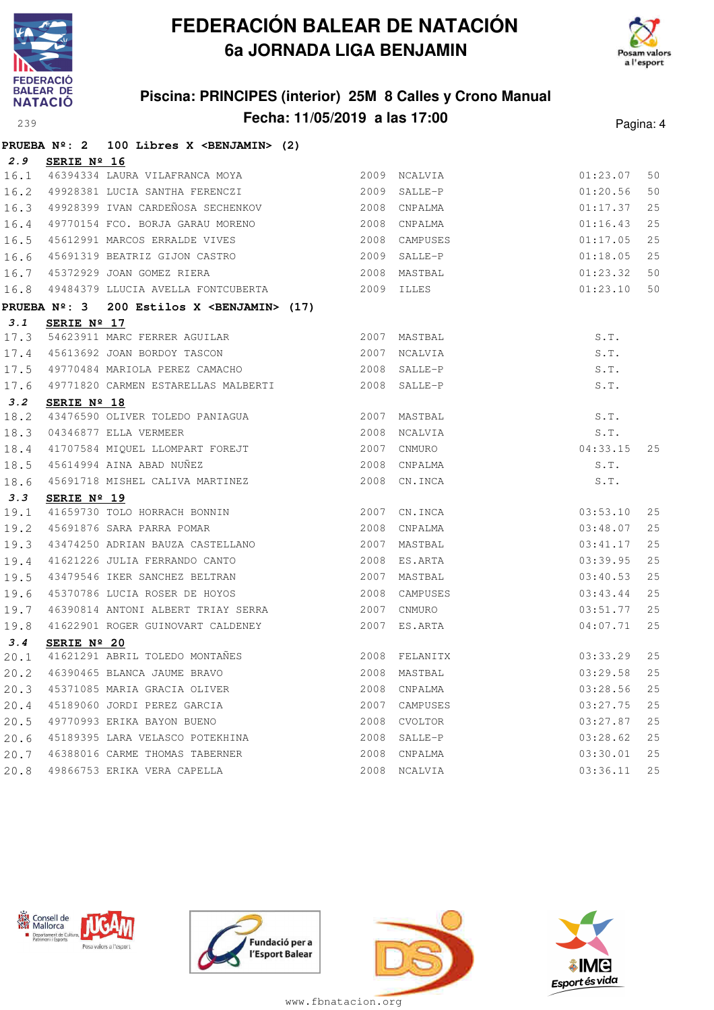



### **Piscina: PRINCIPES (interior) 25M 8 Calles y Crono Manual Fecha: 11/05/2019 a las 17:00** Pagina: 4

|      |                      | PRUEBA $N^2$ : 2 100 Libres X <benjamin> (2)</benjamin>                                                                  |              |               |               |    |
|------|----------------------|--------------------------------------------------------------------------------------------------------------------------|--------------|---------------|---------------|----|
| 2.9  | SERIE Nº 16          |                                                                                                                          |              |               |               |    |
| 16.1 |                      | 46394334 LAURA VILAFRANCA MOYA 2009 NCALVIA                                                                              |              |               | 01:23.07      | 50 |
| 16.2 |                      | 49928381 LUCIA SANTHA FERENCZI 2009 SALLE-P                                                                              |              |               | 01:20.56      | 50 |
| 16.3 |                      | 49928399 IVAN CARDEÑOSA SECHENKOV (2008 CNPALMA                                                                          |              |               | 01:17.37      | 25 |
| 16.4 |                      | 49770154 FCO. BORJA GARAU MORENO 2008 CNPALMA                                                                            |              |               | 01:16.43      | 25 |
| 16.5 |                      | 45612991 MARCOS ERRALDE VIVES                                                                                            |              | 2008 CAMPUSES | 01:17.05      | 25 |
| 16.6 |                      |                                                                                                                          |              |               | 01:18.05      | 25 |
| 16.7 |                      |                                                                                                                          |              |               | 01:23.32      | 50 |
| 16.8 |                      | 49484379 LLUCIA AVELLA FONTCUBERTA 2009 ILLES                                                                            |              |               | 01:23.10      | 50 |
|      |                      | PRUEBA Nº: 3 200 Estilos X <benjamin> (17)</benjamin>                                                                    |              |               |               |    |
| 3.1  | SERIE Nº 17          |                                                                                                                          |              |               |               |    |
| 17.3 |                      | 54623911 MARC FERRER AGUILAR                                                                                             | 2007 MASTBAL |               | S.T.          |    |
| 17.4 |                      | 45613692 JOAN BORDOY TASCON 2007 NCALVIA                                                                                 |              |               | S.T.          |    |
| 17.5 |                      | 49770484 MARIOLA PEREZ CAMACHO (2008 SALLE-P                                                                             |              |               | S.T.          |    |
| 17.6 |                      |                                                                                                                          |              |               | S.T.          |    |
| 3.2  | SERIE Nº 18          |                                                                                                                          |              |               |               |    |
| 18.2 |                      | 43476590 OLIVER TOLEDO PANIAGUA 1999 1999 1999 2007 MASTBAL 2008 NCALVIA                                                 |              |               | S.T.          |    |
| 18.3 |                      |                                                                                                                          |              |               | S.T.          |    |
| 18.4 |                      |                                                                                                                          |              |               | 04:33.15      | 25 |
| 18.5 |                      |                                                                                                                          |              |               | S.T.          |    |
| 18.6 |                      | 41707584 MIQUEL LLOMPART FOREJT<br>45614994 AINA ABAD NUÑEZ 2008 CNPALMA<br>45691718 MISHEL CALIVA MARTINEZ 2008 CN.INCA |              |               | S.T.          |    |
| 3.3  | SERIE $N^{\circ}$ 19 |                                                                                                                          |              |               |               |    |
| 19.1 |                      | 41659730 TOLO HORRACH BONNIN 2007 CN.INCA                                                                                |              |               | 03:53.10      | 25 |
| 19.2 |                      | 45691876 SARA PARRA POMAR                                                                                                | 2008 CNPALMA |               | 03:48.07      | 25 |
| 19.3 |                      | 43474250 ADRIAN BAUZA CASTELLANO                                                                                         |              | 2007 MASTBAL  | 03:41.17      | 25 |
| 19.4 |                      | 41621226 JULIA FERRANDO CANTO                                                                                            |              | 2008 ES.ARTA  | 03:39.95      | 25 |
| 19.5 |                      |                                                                                                                          |              |               | 03:40.53      | 25 |
| 19.6 |                      | 45370786 LUCIA ROSER DE HOYOS 2008 CAMPUSES                                                                              |              |               | 03:43.44      | 25 |
| 19.7 |                      | 46390814 ANTONI ALBERT TRIAY SERRA                                                                                       |              | 2007 CNMURO   | 03:51.77      | 25 |
| 19.8 |                      | 41622901 ROGER GUINOVART CALDENEY 2007 ES.ARTA                                                                           |              |               | 04:07.71      | 25 |
| 3.4  | SERIE Nº 20          |                                                                                                                          |              |               |               |    |
| 20.1 |                      | 41621291 ABRIL TOLEDO MONTAÑES 2008 FELANITX                                                                             |              |               | 03:33.29      | 25 |
|      |                      | 20.2 46390465 BLANCA JAUME BRAVO 2008 MASTBAL 2008 MASTBAL                                                               |              |               |               |    |
| 20.3 |                      | 45371085 MARIA GRACIA OLIVER                                                                                             |              | 2008 CNPALMA  | 03:28.56      | 25 |
| 20.4 |                      | 45189060 JORDI PEREZ GARCIA                                                                                              |              | 2007 CAMPUSES | 03:27.75      | 25 |
| 20.5 |                      | 49770993 ERIKA BAYON BUENO                                                                                               |              | 2008 CVOLTOR  | 03:27.87      | 25 |
| 20.6 |                      | 45189395 LARA VELASCO POTEKHINA                                                                                          |              | 2008 SALLE-P  | 03:28.62      | 25 |
| 20.7 |                      | 46388016 CARME THOMAS TABERNER                                                                                           |              | 2008 CNPALMA  | 03:30.01      | 25 |
|      |                      | 20.8 49866753 ERIKA VERA CAPELLA                                                                                         |              | 2008 NCALVIA  | $03:36.11$ 25 |    |







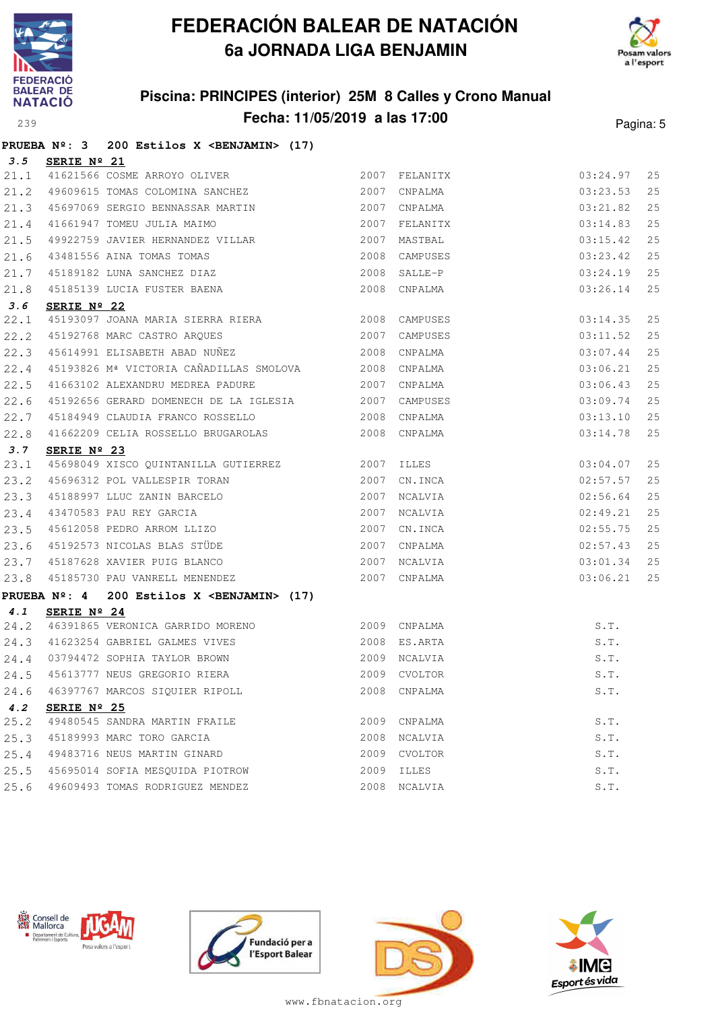

# **FEDERACIÓN BALEAR DE NATACIÓN 6a JORNADA LIGA BENJAMIN**



# **Piscina: PRINCIPES (interior) 25M 8 Calles y Crono Manual**

| <b>NATACIÓ</b> |                      | PISCINA: PRINCIPES (INTERIOR) ZOM 8 Calles y Crono Manual       |      |                 |               |           |
|----------------|----------------------|-----------------------------------------------------------------|------|-----------------|---------------|-----------|
| 239            |                      | Fecha: 11/05/2019 a las 17:00                                   |      |                 |               | Pagina: 5 |
|                |                      | PRUEBA $N^{\circ}$ : 3 200 Estilos X <benjamin> (17)</benjamin> |      |                 |               |           |
| 3.5            | SERIE Nº 21          |                                                                 |      |                 |               |           |
| 21.1           |                      | 41621566 COSME ARROYO OLIVER                                    |      | 2007 FELANITX   | 03:24.97      | 25        |
| 21.2           |                      | 49609615 TOMAS COLOMINA SANCHEZ                                 | 2007 | CNPALMA         | 03:23.53      | 25        |
| 21.3           |                      | 45697069 SERGIO BENNASSAR MARTIN                                | 2007 | CNPALMA         | 03:21.82      | 25        |
| 21.4           |                      | 41661947 TOMEU JULIA MAIMO                                      | 2007 | FELANITX        | 03:14.83      | 25        |
| 21.5           |                      | 49922759 JAVIER HERNANDEZ VILLAR                                |      | 2007 MASTBAL    | 03:15.42      | 25        |
| 21.6           |                      | 43481556 AINA TOMAS TOMAS                                       | 2008 | CAMPUSES        | 03:23.42      | 25        |
| 21.7           |                      | 45189182 LUNA SANCHEZ DIAZ                                      | 2008 | $SALLE-P$       | 03:24.19      | 25        |
| 21.8           |                      | 45185139 LUCIA FUSTER BAENA                                     | 2008 | CNPALMA         | 03:26.14      | 25        |
| 3.6            | SERIE Nº 22          |                                                                 |      |                 |               |           |
| 22.1           |                      | 45193097 JOANA MARIA SIERRA RIERA                               | 2008 | CAMPUSES        | 03:14.35      | 25        |
| 22.2           |                      | 45192768 MARC CASTRO AROUES                                     | 2007 | CAMPUSES        | 03:11.52      | 25        |
| 22.3           |                      | 45614991 ELISABETH ABAD NUÑEZ                                   | 2008 | CNPALMA         | 03:07.44      | 25        |
| 22.4           |                      | 45193826 Mª VICTORIA CAÑADILLAS SMOLOVA                         | 2008 | CNPALMA         | 03:06.21      | 25        |
| 22.5           |                      | 41663102 ALEXANDRU MEDREA PADURE                                | 2007 | CNPALMA         | 03:06.43      | 25        |
| 22.6           |                      | 45192656 GERARD DOMENECH DE LA IGLESIA                          |      | 2007 CAMPUSES   | 03:09.74      | 25        |
| 22.7           |                      | 45184949 CLAUDIA FRANCO ROSSELLO                                | 2008 | CNPALMA         | 03:13.10      | 25        |
| 22.8           |                      | 41662209 CELIA ROSSELLO BRUGAROLAS                              | 2008 | CNPALMA         | 03:14.78      | 25        |
| 3.7            | SERIE Nº 23          |                                                                 |      |                 |               |           |
| 23.1           |                      | 45698049 XISCO QUINTANILLA GUTIERREZ                            | 2007 | <b>ILLES</b>    | 03:04.07      | 25        |
| 23.2           |                      | 45696312 POL VALLESPIR TORAN                                    | 2007 | CN.INCA         | 02:57.57      | 25        |
| 23.3           |                      | 45188997 LLUC ZANIN BARCELO                                     | 2007 | NCALVIA         | 02:56.64      | 25        |
| 23.4           |                      | 43470583 PAU REY GARCIA                                         | 2007 | NCALVIA         | 02:49.21      | 25        |
| 23.5           |                      | 45612058 PEDRO ARROM LLIZO                                      | 2007 | CN.INCA         | 02:55.75      | 25        |
| 23.6           |                      | 45192573 NICOLAS BLAS STÜDE                                     |      | 2007 CNPALMA    | 02:57.43      | 25        |
| 23.7           |                      | 45187628 XAVIER PUIG BLANCO                                     |      | 2007 NCALVIA    | 03:01.34      | 25        |
| 23.8           |                      | 45185730 PAU VANRELL MENENDEZ                                   | 2007 | CNPALMA         | 03:06.21      | 25        |
|                | <b>PRUEBA Nº: 4</b>  | 200 Estilos X <benjamin> (17)</benjamin>                        |      |                 |               |           |
| 4.1            | SERIE $N^{\circ}$ 24 |                                                                 |      |                 |               |           |
|                |                      | 24.2 46391865 VERONICA GARRIDO MORENO                           |      | 2009 CNPALMA    | S.T.          |           |
|                |                      |                                                                 |      | $0.000$ $70.77$ | $\sim$ $\sim$ |           |





**4.2 SERIE Nº 25**





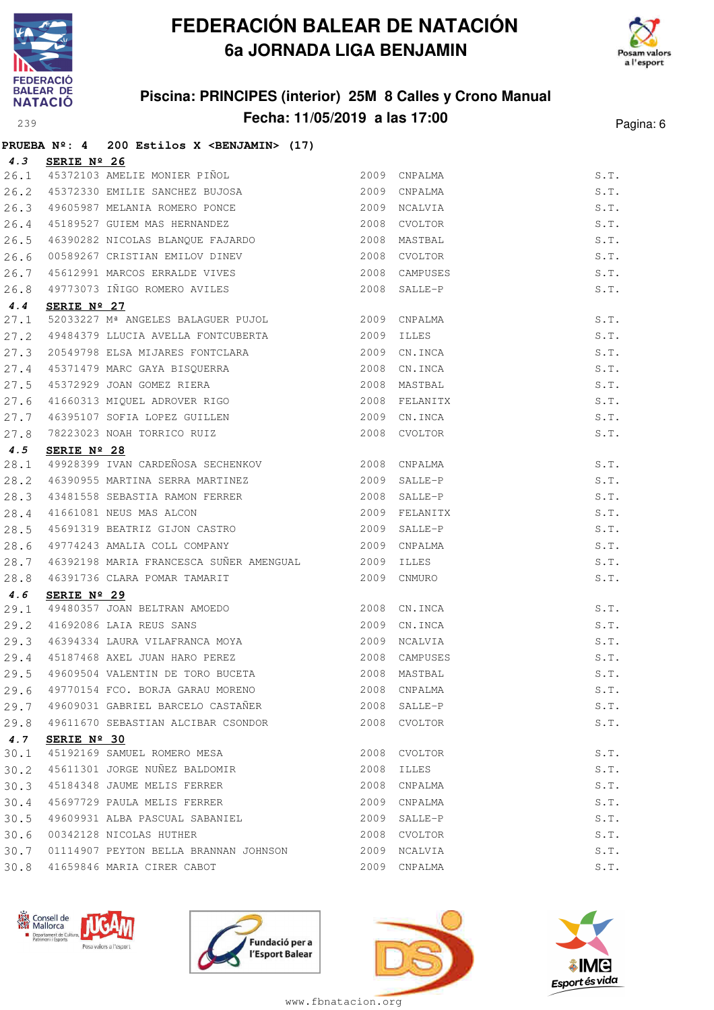



### **Piscina: PRINCIPES (interior) 25M 8 Calles y Crono Manual Fecha: 11/05/2019 a las 17:00** Pagina: 6

|      |                      | PRUEBA Nº: 4 200 Estilos X < BENJAMIN> (17)                                                              |      |               |                               |
|------|----------------------|----------------------------------------------------------------------------------------------------------|------|---------------|-------------------------------|
|      | 4.3 SERIE Nº 26      |                                                                                                          |      |               |                               |
|      |                      | 26.1 45372103 AMELIE MONIER PIÑOL                                                                        |      | 2009 CNPALMA  | S.T.                          |
| 26.2 |                      | 45372330 EMILIE SANCHEZ BUJOSA                                                                           |      | 2009 CNPALMA  | S.T.                          |
|      |                      | 26.3 49605987 MELANIA ROMERO PONCE                                                                       |      | 2009 NCALVIA  | S.T.                          |
|      |                      | 26.4 45189527 GUIEM MAS HERNANDEZ                                                                        | 2008 | CVOLTOR       | S.T.                          |
| 26.5 |                      | 46390282 NICOLAS BLANQUE FAJARDO                                                                         |      | 2008 MASTBAL  | S.T.                          |
| 26.6 |                      | 00589267 CRISTIAN EMILOV DINEV 2008 CVOLTOR                                                              |      |               | S.T.                          |
| 26.7 |                      | 45612991 MARCOS ERRALDE VIVES                                                                            |      | 2008 CAMPUSES | S.T.                          |
| 26.8 |                      | 49773073 IÑIGO ROMERO AVILES                                                                             |      | 2008 SALLE-P  | S.T.                          |
| 4.4  | SERIE $N^{\circ}$ 27 |                                                                                                          |      |               |                               |
| 27.1 |                      | 52033227 Mª ANGELES BALAGUER PUJOL                                                                       |      | 2009 CNPALMA  | S.T.                          |
| 27.2 |                      | 49484379 LLUCIA AVELLA FONTCUBERTA 2009                                                                  |      | ILLES         | S.T.                          |
| 27.3 |                      | 20549798 ELSA MIJARES FONTCLARA                                                                          |      | 2009 CN.INCA  | S.T.                          |
|      |                      |                                                                                                          |      | 2008 CN.INCA  | S.T.                          |
|      |                      | 27.4 45371479 MARC GAYA BISQUERRA<br>27.5 45372929 JOAN GOMEZ RIERA<br>27.6 41660313 MIQUEL ADROVER RIGO |      | 2008 MASTBAL  | S.T.                          |
|      |                      |                                                                                                          |      | 2008 FELANITX | S.T.                          |
| 27.7 |                      | 46395107 SOFIA LOPEZ GUILLEN                                                                             |      | 2009 CN.INCA  | S.T.                          |
| 27.8 |                      | 78223023 NOAH TORRICO RUIZ                                                                               |      | 2008 CVOLTOR  | S.T.                          |
| 4.5  | SERIE Nº 28          |                                                                                                          |      |               |                               |
| 28.1 |                      | 49928399 IVAN CARDEÑOSA SECHENKOV (2008 CNPALMA                                                          |      |               | S.T.                          |
| 28.2 |                      | 46390955 MARTINA SERRA MARTINEZ 6009 SALLE-P                                                             |      |               | S.T.                          |
| 28.3 |                      |                                                                                                          | 2008 | SALLE-P       | S.T.                          |
| 28.4 |                      |                                                                                                          |      | 2009 FELANITX | S.T.                          |
| 28.5 |                      | 43481558 SEBASTIA RAMON FERRER<br>41661081 NEUS MAS ALCON<br>45691319 BEATRIZ GIJON CASTRO               |      | 2009 SALLE-P  | S.T.                          |
| 28.6 |                      | 49774243 AMALIA COLL COMPANY 2009                                                                        |      | CNPALMA       | S.T.                          |
| 28.7 |                      | 46392198 MARIA FRANCESCA SUÑER AMENGUAL 2009                                                             |      | ILLES         | S.T.                          |
| 28.8 |                      | 46391736 CLARA POMAR TAMARIT                                                                             |      | 2009 CNMURO   | S.T.                          |
| 4.6  | SERIE $N^{\circ}$ 29 |                                                                                                          |      |               |                               |
|      |                      | 29.1 49480357 JOAN BELTRAN AMOEDO<br>29.2 41692086 LAIA REUS SANS                                        |      | 2008 CN.INCA  | S.T.                          |
|      |                      |                                                                                                          | 2009 | CN.INCA       | S.T.                          |
|      |                      | 29.3 46394334 LAURA VILAFRANCA MOYA                                                                      |      | 2009 NCALVIA  | S.T.                          |
|      |                      |                                                                                                          |      | 2008 CAMPUSES | S.T.                          |
|      |                      | 29.4 45187468 AXEL JUAN HARO PEREZ<br>29.5 49609504 VALENTIN DE TORO BUCETA                              |      | 2008 MASTBAL  | $\texttt{S}$ . $\texttt{T}$ . |
| 29.6 |                      | 49770154 FCO. BORJA GARAU MORENO                                                                         | 2008 | CNPALMA       | S.T.                          |
| 29.7 |                      | 49609031 GABRIEL BARCELO CASTAÑER                                                                        | 2008 | SALLE-P       | S.T.                          |
| 29.8 |                      | 49611670 SEBASTIAN ALCIBAR CSONDOR                                                                       | 2008 | CVOLTOR       | S.T.                          |
| 4.7  | SERIE $N^{\circ}$ 30 |                                                                                                          |      |               |                               |
| 30.1 |                      | 45192169 SAMUEL ROMERO MESA                                                                              | 2008 | CVOLTOR       | S.T.                          |
| 30.2 |                      | 45611301 JORGE NUÑEZ BALDOMIR                                                                            | 2008 | ILLES         | S.T.                          |
| 30.3 |                      | 45184348 JAUME MELIS FERRER                                                                              | 2008 | CNPALMA       | S.T.                          |
| 30.4 |                      | 45697729 PAULA MELIS FERRER                                                                              | 2009 | CNPALMA       | S.T.                          |
| 30.5 |                      | 49609931 ALBA PASCUAL SABANIEL                                                                           | 2009 | SALLE-P       | S.T.                          |
| 30.6 |                      | 00342128 NICOLAS HUTHER                                                                                  | 2008 | CVOLTOR       | S.T.                          |
| 30.7 |                      | 01114907 PEYTON BELLA BRANNAN JOHNSON                                                                    | 2009 | NCALVIA       | $\texttt{S}$ . $\texttt{T}$ . |
| 30.8 |                      | 41659846 MARIA CIRER CABOT                                                                               |      | 2009 CNPALMA  | $\texttt{S}$ . $\texttt{T}$ . |